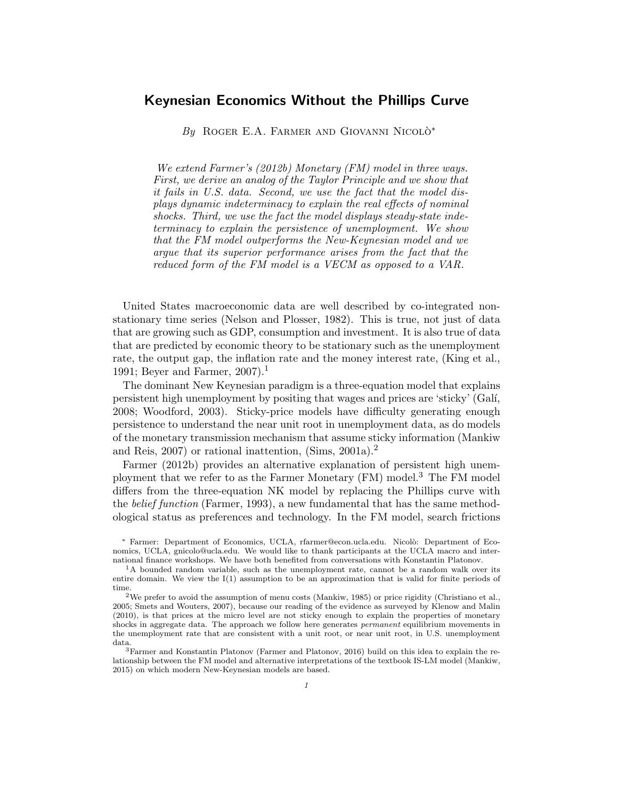# Keynesian Economics Without the Phillips Curve

By ROGER E.A. FARMER AND GIOVANNI NICOLO<sup>\*</sup>

We extend Farmer's (2012b) Monetary (FM) model in three ways. First, we derive an analog of the Taylor Principle and we show that it fails in U.S. data. Second, we use the fact that the model displays dynamic indeterminacy to explain the real effects of nominal shocks. Third, we use the fact the model displays steady-state indeterminacy to explain the persistence of unemployment. We show that the FM model outperforms the New-Keynesian model and we argue that its superior performance arises from the fact that the reduced form of the FM model is a VECM as opposed to a VAR.

United States macroeconomic data are well described by co-integrated nonstationary time series (Nelson and Plosser, 1982). This is true, not just of data that are growing such as GDP, consumption and investment. It is also true of data that are predicted by economic theory to be stationary such as the unemployment rate, the output gap, the inflation rate and the money interest rate, (King et al., 1991; Beyer and Farmer,  $2007$ ).<sup>1</sup>

The dominant New Keynesian paradigm is a three-equation model that explains persistent high unemployment by positing that wages and prices are 'sticky' (Gal´ı, 2008; Woodford, 2003). Sticky-price models have difficulty generating enough persistence to understand the near unit root in unemployment data, as do models of the monetary transmission mechanism that assume sticky information (Mankiw and Reis, 2007) or rational inattention, (Sims, 2001a).<sup>2</sup>

Farmer (2012b) provides an alternative explanation of persistent high unemployment that we refer to as the Farmer Monetary (FM) model.<sup>3</sup> The FM model differs from the three-equation NK model by replacing the Phillips curve with the *belief function* (Farmer, 1993), a new fundamental that has the same methodological status as preferences and technology. In the FM model, search frictions

<sup>∗</sup> Farmer: Department of Economics, UCLA, rfarmer@econ.ucla.edu. Nicol`o: Department of Economics, UCLA, gnicolo@ucla.edu. We would like to thank participants at the UCLA macro and international finance workshops. We have both benefited from conversations with Konstantin Platonov.

<sup>1</sup>A bounded random variable, such as the unemployment rate, cannot be a random walk over its entire domain. We view the I(1) assumption to be an approximation that is valid for finite periods of time.

<sup>2</sup>We prefer to avoid the assumption of menu costs (Mankiw, 1985) or price rigidity (Christiano et al., 2005; Smets and Wouters, 2007), because our reading of the evidence as surveyed by Klenow and Malin (2010), is that prices at the micro level are not sticky enough to explain the properties of monetary shocks in aggregate data. The approach we follow here generates permanent equilibrium movements in the unemployment rate that are consistent with a unit root, or near unit root, in U.S. unemployment data.

<sup>3</sup>Farmer and Konstantin Platonov (Farmer and Platonov, 2016) build on this idea to explain the relationship between the FM model and alternative interpretations of the textbook IS-LM model (Mankiw, 2015) on which modern New-Keynesian models are based.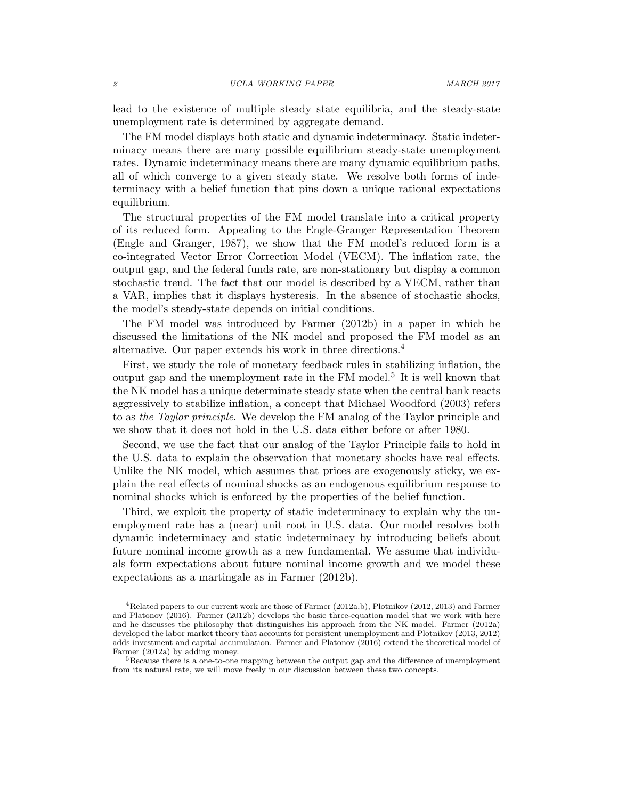lead to the existence of multiple steady state equilibria, and the steady-state unemployment rate is determined by aggregate demand.

The FM model displays both static and dynamic indeterminacy. Static indeterminacy means there are many possible equilibrium steady-state unemployment rates. Dynamic indeterminacy means there are many dynamic equilibrium paths, all of which converge to a given steady state. We resolve both forms of indeterminacy with a belief function that pins down a unique rational expectations equilibrium.

The structural properties of the FM model translate into a critical property of its reduced form. Appealing to the Engle-Granger Representation Theorem (Engle and Granger, 1987), we show that the FM model's reduced form is a co-integrated Vector Error Correction Model (VECM). The inflation rate, the output gap, and the federal funds rate, are non-stationary but display a common stochastic trend. The fact that our model is described by a VECM, rather than a VAR, implies that it displays hysteresis. In the absence of stochastic shocks, the model's steady-state depends on initial conditions.

The FM model was introduced by Farmer (2012b) in a paper in which he discussed the limitations of the NK model and proposed the FM model as an alternative. Our paper extends his work in three directions.<sup>4</sup>

First, we study the role of monetary feedback rules in stabilizing inflation, the output gap and the unemployment rate in the  $FM$  model.<sup>5</sup> It is well known that the NK model has a unique determinate steady state when the central bank reacts aggressively to stabilize inflation, a concept that Michael Woodford (2003) refers to as the Taylor principle. We develop the FM analog of the Taylor principle and we show that it does not hold in the U.S. data either before or after 1980.

Second, we use the fact that our analog of the Taylor Principle fails to hold in the U.S. data to explain the observation that monetary shocks have real effects. Unlike the NK model, which assumes that prices are exogenously sticky, we explain the real effects of nominal shocks as an endogenous equilibrium response to nominal shocks which is enforced by the properties of the belief function.

Third, we exploit the property of static indeterminacy to explain why the unemployment rate has a (near) unit root in U.S. data. Our model resolves both dynamic indeterminacy and static indeterminacy by introducing beliefs about future nominal income growth as a new fundamental. We assume that individuals form expectations about future nominal income growth and we model these expectations as a martingale as in Farmer (2012b).

<sup>&</sup>lt;sup>4</sup>Related papers to our current work are those of Farmer  $(2012a,b)$ , Plotnikov  $(2012, 2013)$  and Farmer and Platonov (2016). Farmer (2012b) develops the basic three-equation model that we work with here and he discusses the philosophy that distinguishes his approach from the NK model. Farmer (2012a) developed the labor market theory that accounts for persistent unemployment and Plotnikov (2013, 2012) adds investment and capital accumulation. Farmer and Platonov (2016) extend the theoretical model of Farmer (2012a) by adding money.

 $5$ Because there is a one-to-one mapping between the output gap and the difference of unemployment from its natural rate, we will move freely in our discussion between these two concepts.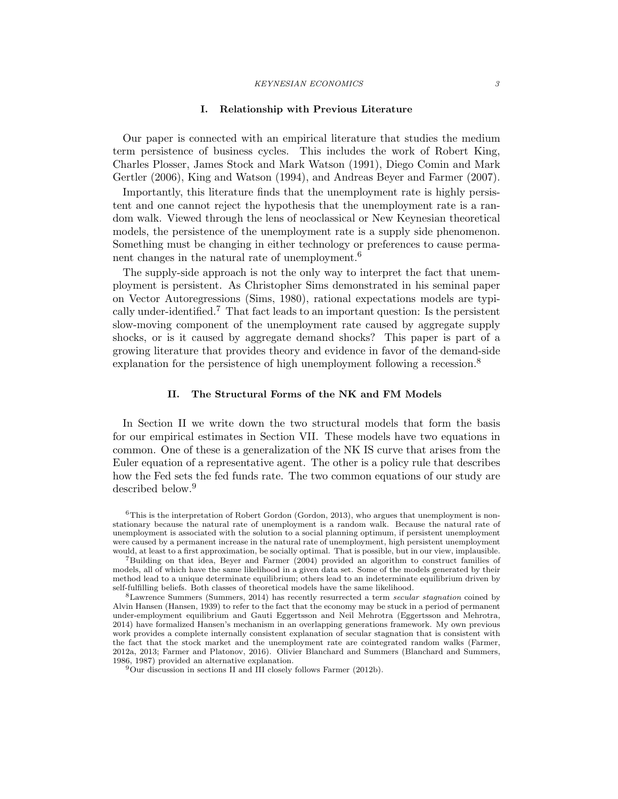#### KEYNESIAN ECONOMICS 3

### I. Relationship with Previous Literature

Our paper is connected with an empirical literature that studies the medium term persistence of business cycles. This includes the work of Robert King, Charles Plosser, James Stock and Mark Watson (1991), Diego Comin and Mark Gertler (2006), King and Watson (1994), and Andreas Beyer and Farmer (2007).

Importantly, this literature finds that the unemployment rate is highly persistent and one cannot reject the hypothesis that the unemployment rate is a random walk. Viewed through the lens of neoclassical or New Keynesian theoretical models, the persistence of the unemployment rate is a supply side phenomenon. Something must be changing in either technology or preferences to cause permanent changes in the natural rate of unemployment.<sup>6</sup>

The supply-side approach is not the only way to interpret the fact that unemployment is persistent. As Christopher Sims demonstrated in his seminal paper on Vector Autoregressions (Sims, 1980), rational expectations models are typically under-identified.<sup>7</sup> That fact leads to an important question: Is the persistent slow-moving component of the unemployment rate caused by aggregate supply shocks, or is it caused by aggregate demand shocks? This paper is part of a growing literature that provides theory and evidence in favor of the demand-side explanation for the persistence of high unemployment following a recession.<sup>8</sup>

# II. The Structural Forms of the NK and FM Models

In Section II we write down the two structural models that form the basis for our empirical estimates in Section VII. These models have two equations in common. One of these is a generalization of the NK IS curve that arises from the Euler equation of a representative agent. The other is a policy rule that describes how the Fed sets the fed funds rate. The two common equations of our study are described below.<sup>9</sup>

 $6$ This is the interpretation of Robert Gordon (Gordon, 2013), who argues that unemployment is nonstationary because the natural rate of unemployment is a random walk. Because the natural rate of unemployment is associated with the solution to a social planning optimum, if persistent unemployment were caused by a permanent increase in the natural rate of unemployment, high persistent unemployment would, at least to a first approximation, be socially optimal. That is possible, but in our view, implausible.

<sup>7</sup>Building on that idea, Beyer and Farmer (2004) provided an algorithm to construct families of models, all of which have the same likelihood in a given data set. Some of the models generated by their method lead to a unique determinate equilibrium; others lead to an indeterminate equilibrium driven by self-fulfilling beliefs. Both classes of theoretical models have the same likelihood.

<sup>8</sup>Lawrence Summers (Summers, 2014) has recently resurrected a term secular stagnation coined by Alvin Hansen (Hansen, 1939) to refer to the fact that the economy may be stuck in a period of permanent under-employment equilibrium and Gauti Eggertsson and Neil Mehrotra (Eggertsson and Mehrotra, 2014) have formalized Hansen's mechanism in an overlapping generations framework. My own previous work provides a complete internally consistent explanation of secular stagnation that is consistent with the fact that the stock market and the unemployment rate are cointegrated random walks (Farmer, 2012a, 2013; Farmer and Platonov, 2016). Olivier Blanchard and Summers (Blanchard and Summers, 1986, 1987) provided an alternative explanation.

<sup>9</sup>Our discussion in sections II and III closely follows Farmer (2012b).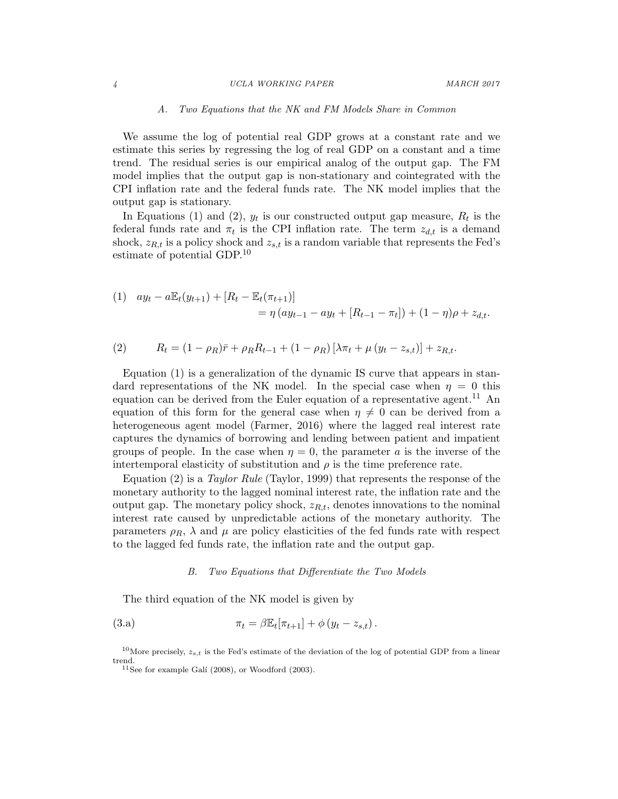#### 4 UCLA WORKING PAPER MARCH 2017

# A. Two Equations that the NK and FM Models Share in Common

We assume the log of potential real GDP grows at a constant rate and we estimate this series by regressing the log of real GDP on a constant and a time trend. The residual series is our empirical analog of the output gap. The FM model implies that the output gap is non-stationary and cointegrated with the CPI inflation rate and the federal funds rate. The NK model implies that the output gap is stationary.

In Equations (1) and (2),  $y_t$  is our constructed output gap measure,  $R_t$  is the federal funds rate and  $\pi_t$  is the CPI inflation rate. The term  $z_{d,t}$  is a demand shock,  $z_{R,t}$  is a policy shock and  $z_{s,t}$  is a random variable that represents the Fed's estimate of potential GDP.<sup>10</sup>

(1) 
$$
ay_t - a\mathbb{E}_t(y_{t+1}) + [R_t - \mathbb{E}_t(\pi_{t+1})]
$$
  
=  $\eta (ay_{t-1} - ay_t + [R_{t-1} - \pi_t]) + (1 - \eta)\rho + z_{d,t}.$ 

(2) 
$$
R_t = (1 - \rho_R)\bar{r} + \rho_R R_{t-1} + (1 - \rho_R)[\lambda \pi_t + \mu (y_t - z_{s,t})] + z_{R,t}.
$$

Equation (1) is a generalization of the dynamic IS curve that appears in standard representations of the NK model. In the special case when  $\eta = 0$  this equation can be derived from the Euler equation of a representative agent.<sup>11</sup> An equation of this form for the general case when  $\eta \neq 0$  can be derived from a heterogeneous agent model (Farmer, 2016) where the lagged real interest rate captures the dynamics of borrowing and lending between patient and impatient groups of people. In the case when  $\eta = 0$ , the parameter a is the inverse of the intertemporal elasticity of substitution and  $\rho$  is the time preference rate.

Equation (2) is a Taylor Rule (Taylor, 1999) that represents the response of the monetary authority to the lagged nominal interest rate, the inflation rate and the output gap. The monetary policy shock,  $z_{R,t}$ , denotes innovations to the nominal interest rate caused by unpredictable actions of the monetary authority. The parameters  $\rho_R$ ,  $\lambda$  and  $\mu$  are policy elasticities of the fed funds rate with respect to the lagged fed funds rate, the inflation rate and the output gap.

# B. Two Equations that Differentiate the Two Models

The third equation of the NK model is given by

(3.a) 
$$
\pi_t = \beta \mathbb{E}_t[\pi_{t+1}] + \phi (y_t - z_{s,t}).
$$

<sup>&</sup>lt;sup>10</sup>More precisely,  $z_{s,t}$  is the Fed's estimate of the deviation of the log of potential GDP from a linear trend.

 $11$ See for example Galí (2008), or Woodford (2003).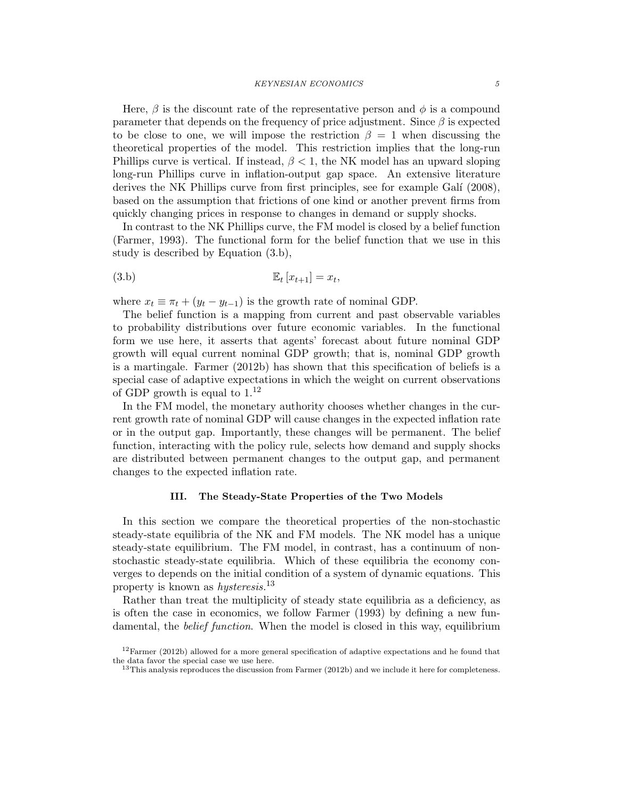#### KEYNESIAN ECONOMICS 5

Here,  $\beta$  is the discount rate of the representative person and  $\phi$  is a compound parameter that depends on the frequency of price adjustment. Since  $\beta$  is expected to be close to one, we will impose the restriction  $\beta = 1$  when discussing the theoretical properties of the model. This restriction implies that the long-run Phillips curve is vertical. If instead,  $\beta < 1$ , the NK model has an upward sloping long-run Phillips curve in inflation-output gap space. An extensive literature derives the NK Phillips curve from first principles, see for example Galí (2008), based on the assumption that frictions of one kind or another prevent firms from quickly changing prices in response to changes in demand or supply shocks.

In contrast to the NK Phillips curve, the FM model is closed by a belief function (Farmer, 1993). The functional form for the belief function that we use in this study is described by Equation (3.b),

$$
(3.b) \t\t \mathbb{E}_t[x_{t+1}] = x_t,
$$

where  $x_t \equiv \pi_t + (y_t - y_{t-1})$  is the growth rate of nominal GDP.

The belief function is a mapping from current and past observable variables to probability distributions over future economic variables. In the functional form we use here, it asserts that agents' forecast about future nominal GDP growth will equal current nominal GDP growth; that is, nominal GDP growth is a martingale. Farmer (2012b) has shown that this specification of beliefs is a special case of adaptive expectations in which the weight on current observations of GDP growth is equal to 1.<sup>12</sup>

In the FM model, the monetary authority chooses whether changes in the current growth rate of nominal GDP will cause changes in the expected inflation rate or in the output gap. Importantly, these changes will be permanent. The belief function, interacting with the policy rule, selects how demand and supply shocks are distributed between permanent changes to the output gap, and permanent changes to the expected inflation rate.

### III. The Steady-State Properties of the Two Models

In this section we compare the theoretical properties of the non-stochastic steady-state equilibria of the NK and FM models. The NK model has a unique steady-state equilibrium. The FM model, in contrast, has a continuum of nonstochastic steady-state equilibria. Which of these equilibria the economy converges to depends on the initial condition of a system of dynamic equations. This property is known as *hysteresis*.<sup>13</sup>

Rather than treat the multiplicity of steady state equilibria as a deficiency, as is often the case in economics, we follow Farmer (1993) by defining a new fundamental, the *belief function*. When the model is closed in this way, equilibrium

<sup>12</sup>Farmer (2012b) allowed for a more general specification of adaptive expectations and he found that the data favor the special case we use here.

 $13$ This analysis reproduces the discussion from Farmer (2012b) and we include it here for completeness.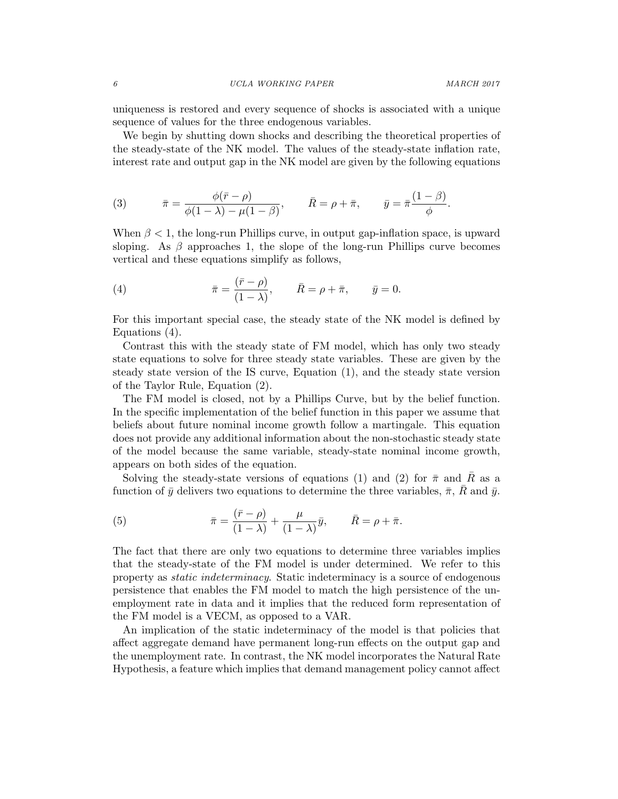uniqueness is restored and every sequence of shocks is associated with a unique sequence of values for the three endogenous variables.

We begin by shutting down shocks and describing the theoretical properties of the steady-state of the NK model. The values of the steady-state inflation rate, interest rate and output gap in the NK model are given by the following equations

(3) 
$$
\bar{\pi} = \frac{\phi(\bar{r} - \rho)}{\phi(1 - \lambda) - \mu(1 - \beta)}, \qquad \bar{R} = \rho + \bar{\pi}, \qquad \bar{y} = \bar{\pi} \frac{(1 - \beta)}{\phi}.
$$

When  $\beta < 1$ , the long-run Phillips curve, in output gap-inflation space, is upward sloping. As  $\beta$  approaches 1, the slope of the long-run Phillips curve becomes vertical and these equations simplify as follows,

(4) 
$$
\bar{\pi} = \frac{(\bar{r} - \rho)}{(1 - \lambda)}, \qquad \bar{R} = \rho + \bar{\pi}, \qquad \bar{y} = 0.
$$

For this important special case, the steady state of the NK model is defined by Equations (4).

Contrast this with the steady state of FM model, which has only two steady state equations to solve for three steady state variables. These are given by the steady state version of the IS curve, Equation (1), and the steady state version of the Taylor Rule, Equation (2).

The FM model is closed, not by a Phillips Curve, but by the belief function. In the specific implementation of the belief function in this paper we assume that beliefs about future nominal income growth follow a martingale. This equation does not provide any additional information about the non-stochastic steady state of the model because the same variable, steady-state nominal income growth, appears on both sides of the equation.

Solving the steady-state versions of equations (1) and (2) for  $\bar{\pi}$  and  $\bar{R}$  as a function of  $\bar{y}$  delivers two equations to determine the three variables,  $\bar{\pi}$ , R and  $\bar{y}$ .

(5) 
$$
\bar{\pi} = \frac{(\bar{r} - \rho)}{(1 - \lambda)} + \frac{\mu}{(1 - \lambda)}\bar{y}, \qquad \bar{R} = \rho + \bar{\pi}.
$$

The fact that there are only two equations to determine three variables implies that the steady-state of the FM model is under determined. We refer to this property as static indeterminacy. Static indeterminacy is a source of endogenous persistence that enables the FM model to match the high persistence of the unemployment rate in data and it implies that the reduced form representation of the FM model is a VECM, as opposed to a VAR.

An implication of the static indeterminacy of the model is that policies that affect aggregate demand have permanent long-run effects on the output gap and the unemployment rate. In contrast, the NK model incorporates the Natural Rate Hypothesis, a feature which implies that demand management policy cannot affect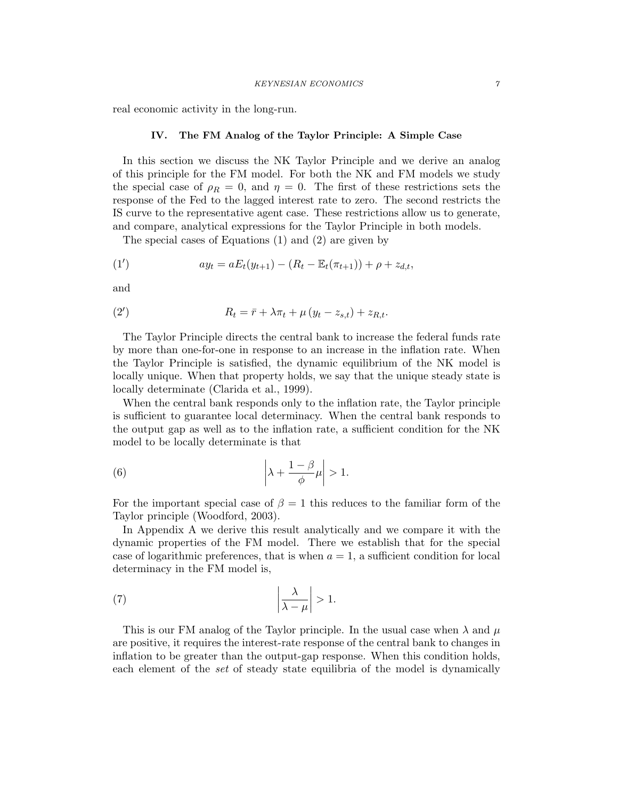#### KEYNESIAN ECONOMICS 7

real economic activity in the long-run.

### IV. The FM Analog of the Taylor Principle: A Simple Case

In this section we discuss the NK Taylor Principle and we derive an analog of this principle for the FM model. For both the NK and FM models we study the special case of  $\rho_R = 0$ , and  $\eta = 0$ . The first of these restrictions sets the response of the Fed to the lagged interest rate to zero. The second restricts the IS curve to the representative agent case. These restrictions allow us to generate, and compare, analytical expressions for the Taylor Principle in both models.

The special cases of Equations (1) and (2) are given by

(1') 
$$
ay_t = aE_t(y_{t+1}) - (R_t - \mathbb{E}_t(\pi_{t+1})) + \rho + z_{d,t},
$$

and

(2') 
$$
R_t = \overline{r} + \lambda \pi_t + \mu (y_t - z_{s,t}) + z_{R,t}.
$$

The Taylor Principle directs the central bank to increase the federal funds rate by more than one-for-one in response to an increase in the inflation rate. When the Taylor Principle is satisfied, the dynamic equilibrium of the NK model is locally unique. When that property holds, we say that the unique steady state is locally determinate (Clarida et al., 1999).

When the central bank responds only to the inflation rate, the Taylor principle is sufficient to guarantee local determinacy. When the central bank responds to the output gap as well as to the inflation rate, a sufficient condition for the NK model to be locally determinate is that

(6) 
$$
\left|\lambda + \frac{1-\beta}{\phi}\mu\right| > 1.
$$

For the important special case of  $\beta = 1$  this reduces to the familiar form of the Taylor principle (Woodford, 2003).

In Appendix A we derive this result analytically and we compare it with the dynamic properties of the FM model. There we establish that for the special case of logarithmic preferences, that is when  $a = 1$ , a sufficient condition for local determinacy in the FM model is,

(7) 
$$
\left|\frac{\lambda}{\lambda-\mu}\right|>1.
$$

This is our FM analog of the Taylor principle. In the usual case when  $\lambda$  and  $\mu$ are positive, it requires the interest-rate response of the central bank to changes in inflation to be greater than the output-gap response. When this condition holds, each element of the set of steady state equilibria of the model is dynamically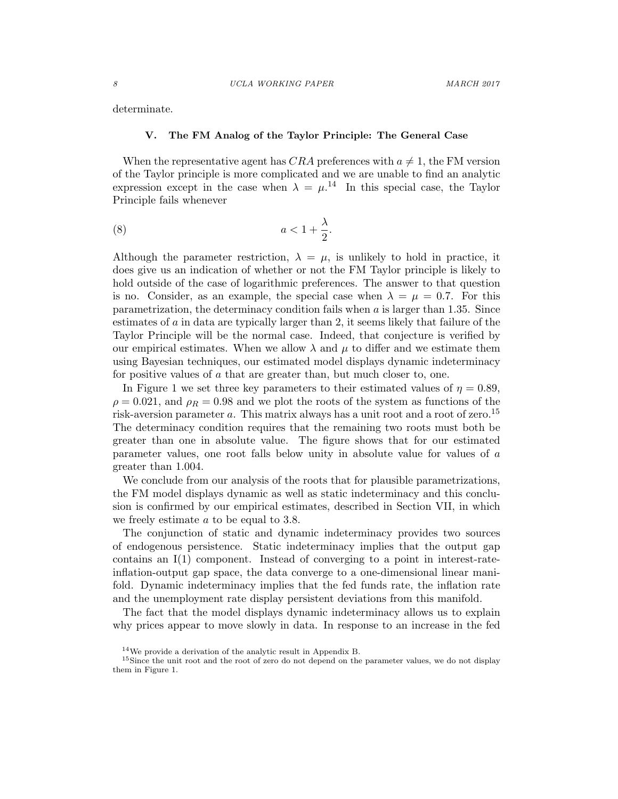determinate.

## V. The FM Analog of the Taylor Principle: The General Case

When the representative agent has CRA preferences with  $a \neq 1$ , the FM version of the Taylor principle is more complicated and we are unable to find an analytic expression except in the case when  $\lambda = \mu^{14}$ . In this special case, the Taylor Principle fails whenever

$$
(8) \t\t a < 1 + \frac{\lambda}{2}.
$$

Although the parameter restriction,  $\lambda = \mu$ , is unlikely to hold in practice, it does give us an indication of whether or not the FM Taylor principle is likely to hold outside of the case of logarithmic preferences. The answer to that question is no. Consider, as an example, the special case when  $\lambda = \mu = 0.7$ . For this parametrization, the determinacy condition fails when  $a$  is larger than 1.35. Since estimates of  $a$  in data are typically larger than 2, it seems likely that failure of the Taylor Principle will be the normal case. Indeed, that conjecture is verified by our empirical estimates. When we allow  $\lambda$  and  $\mu$  to differ and we estimate them using Bayesian techniques, our estimated model displays dynamic indeterminacy for positive values of a that are greater than, but much closer to, one.

In Figure 1 we set three key parameters to their estimated values of  $\eta = 0.89$ ,  $\rho = 0.021$ , and  $\rho_R = 0.98$  and we plot the roots of the system as functions of the risk-aversion parameter  $a$ . This matrix always has a unit root and a root of zero.<sup>15</sup> The determinacy condition requires that the remaining two roots must both be greater than one in absolute value. The figure shows that for our estimated parameter values, one root falls below unity in absolute value for values of a greater than 1.004.

We conclude from our analysis of the roots that for plausible parametrizations, the FM model displays dynamic as well as static indeterminacy and this conclusion is confirmed by our empirical estimates, described in Section VII, in which we freely estimate a to be equal to 3.8.

The conjunction of static and dynamic indeterminacy provides two sources of endogenous persistence. Static indeterminacy implies that the output gap contains an  $I(1)$  component. Instead of converging to a point in interest-rateinflation-output gap space, the data converge to a one-dimensional linear manifold. Dynamic indeterminacy implies that the fed funds rate, the inflation rate and the unemployment rate display persistent deviations from this manifold.

The fact that the model displays dynamic indeterminacy allows us to explain why prices appear to move slowly in data. In response to an increase in the fed

<sup>14</sup>We provide a derivation of the analytic result in Appendix B.

<sup>&</sup>lt;sup>15</sup>Since the unit root and the root of zero do not depend on the parameter values, we do not display them in Figure 1.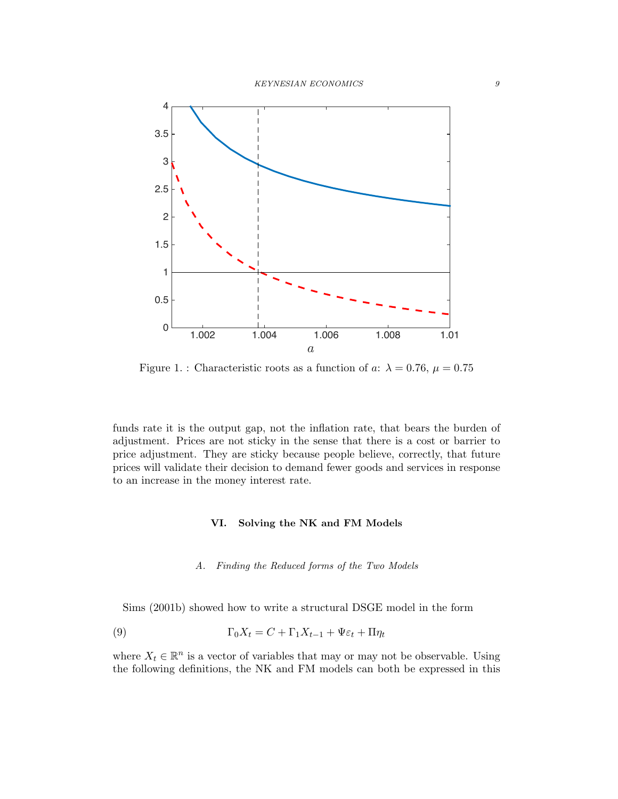

Figure 1. : Characteristic roots as a function of a:  $\lambda = 0.76$ ,  $\mu = 0.75$ 

funds rate it is the output gap, not the inflation rate, that bears the burden of adjustment. Prices are not sticky in the sense that there is a cost or barrier to price adjustment. They are sticky because people believe, correctly, that future prices will validate their decision to demand fewer goods and services in response to an increase in the money interest rate.

# VI. Solving the NK and FM Models

# A. Finding the Reduced forms of the Two Models

Sims (2001b) showed how to write a structural DSGE model in the form

(9) 
$$
\Gamma_0 X_t = C + \Gamma_1 X_{t-1} + \Psi \varepsilon_t + \Pi \eta_t
$$

where  $X_t \in \mathbb{R}^n$  is a vector of variables that may or may not be observable. Using the following definitions, the NK and FM models can both be expressed in this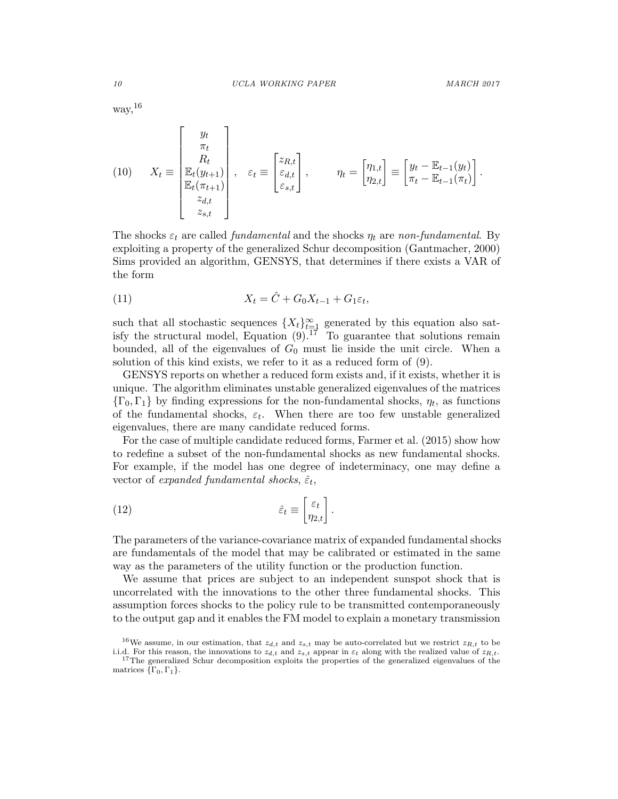way,<sup>16</sup>

(10) 
$$
X_t \equiv \begin{bmatrix} y_t \\ \pi_t \\ R_t \\ \mathbb{E}_t(y_{t+1}) \\ \mathbb{E}_t(\pi_{t+1}) \\ z_{d,t} \\ z_{s,t} \end{bmatrix}, \quad \varepsilon_t \equiv \begin{bmatrix} z_{R,t} \\ \varepsilon_{d,t} \\ \varepsilon_{s,t} \end{bmatrix}, \qquad \eta_t = \begin{bmatrix} \eta_{1,t} \\ \eta_{2,t} \end{bmatrix} \equiv \begin{bmatrix} y_t - \mathbb{E}_{t-1}(y_t) \\ \pi_t - \mathbb{E}_{t-1}(\pi_t) \end{bmatrix}.
$$

The shocks  $\varepsilon_t$  are called fundamental and the shocks  $\eta_t$  are non-fundamental. By exploiting a property of the generalized Schur decomposition (Gantmacher, 2000) Sims provided an algorithm, GENSYS, that determines if there exists a VAR of the form

(11) 
$$
X_t = \hat{C} + G_0 X_{t-1} + G_1 \varepsilon_t,
$$

such that all stochastic sequences  $\{X_t\}_{t=1}^{\infty}$  generated by this equation also satisfy the structural model, Equation  $(9)^{17}$  To guarantee that solutions remain bounded, all of the eigenvalues of  $G_0$  must lie inside the unit circle. When a solution of this kind exists, we refer to it as a reduced form of (9).

GENSYS reports on whether a reduced form exists and, if it exists, whether it is unique. The algorithm eliminates unstable generalized eigenvalues of the matrices  $\{\Gamma_0, \Gamma_1\}$  by finding expressions for the non-fundamental shocks,  $\eta_t$ , as functions of the fundamental shocks,  $\varepsilon_t$ . When there are too few unstable generalized eigenvalues, there are many candidate reduced forms.

For the case of multiple candidate reduced forms, Farmer et al. (2015) show how to redefine a subset of the non-fundamental shocks as new fundamental shocks. For example, if the model has one degree of indeterminacy, one may define a vector of expanded fundamental shocks,  $\hat{\varepsilon}_t$ ,

(12) 
$$
\hat{\varepsilon}_t \equiv \begin{bmatrix} \varepsilon_t \\ \eta_{2,t} \end{bmatrix}.
$$

The parameters of the variance-covariance matrix of expanded fundamental shocks are fundamentals of the model that may be calibrated or estimated in the same way as the parameters of the utility function or the production function.

We assume that prices are subject to an independent sunspot shock that is uncorrelated with the innovations to the other three fundamental shocks. This assumption forces shocks to the policy rule to be transmitted contemporaneously to the output gap and it enables the FM model to explain a monetary transmission

<sup>&</sup>lt;sup>16</sup>We assume, in our estimation, that  $z_{d,t}$  and  $z_{s,t}$  may be auto-correlated but we restrict  $z_{R,t}$  to be i.i.d. For this reason, the innovations to  $z_{d,t}$  and  $z_{s,t}$  appear in  $\varepsilon_t$  along with the realized value of  $z_{R,t}$ .

<sup>&</sup>lt;sup>17</sup>The generalized Schur decomposition exploits the properties of the generalized eigenvalues of the matrices  $\{\Gamma_0, \Gamma_1\}.$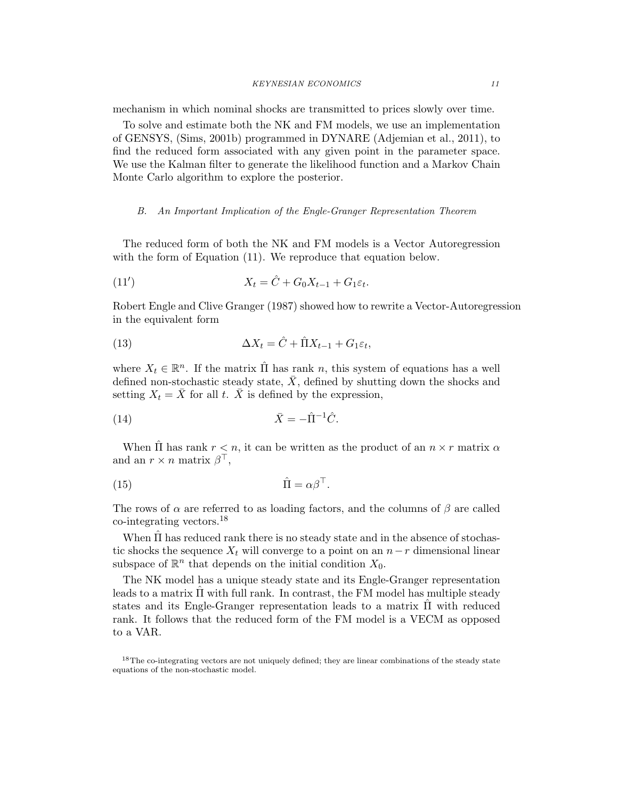mechanism in which nominal shocks are transmitted to prices slowly over time.

To solve and estimate both the NK and FM models, we use an implementation of GENSYS, (Sims, 2001b) programmed in DYNARE (Adjemian et al., 2011), to find the reduced form associated with any given point in the parameter space. We use the Kalman filter to generate the likelihood function and a Markov Chain Monte Carlo algorithm to explore the posterior.

# B. An Important Implication of the Engle-Granger Representation Theorem

The reduced form of both the NK and FM models is a Vector Autoregression with the form of Equation (11). We reproduce that equation below.

(11') 
$$
X_t = \hat{C} + G_0 X_{t-1} + G_1 \varepsilon_t.
$$

Robert Engle and Clive Granger (1987) showed how to rewrite a Vector-Autoregression in the equivalent form

(13) 
$$
\Delta X_t = \hat{C} + \hat{\Pi} X_{t-1} + G_1 \varepsilon_t,
$$

where  $X_t \in \mathbb{R}^n$ . If the matrix  $\hat{\Pi}$  has rank n, this system of equations has a well defined non-stochastic steady state,  $\overline{X}$ , defined by shutting down the shocks and setting  $X_t = \overline{X}$  for all t.  $\overline{X}$  is defined by the expression,

$$
\bar{X} = -\hat{\Pi}^{-1}\hat{C}.
$$

When  $\hat{\Pi}$  has rank  $r < n$ , it can be written as the product of an  $n \times r$  matrix  $\alpha$ and an  $r \times n$  matrix  $\beta^{\top}$ ,

(15) 
$$
\hat{\Pi} = \alpha \beta^{\top}.
$$

The rows of  $\alpha$  are referred to as loading factors, and the columns of  $\beta$  are called co-integrating vectors.<sup>18</sup>

When  $\Pi$  has reduced rank there is no steady state and in the absence of stochastic shocks the sequence  $X_t$  will converge to a point on an  $n-r$  dimensional linear subspace of  $\mathbb{R}^n$  that depends on the initial condition  $X_0$ .

The NK model has a unique steady state and its Engle-Granger representation leads to a matrix  $\hat{\Pi}$  with full rank. In contrast, the FM model has multiple steady states and its Engle-Granger representation leads to a matrix  $\Pi$  with reduced rank. It follows that the reduced form of the FM model is a VECM as opposed to a VAR.

<sup>&</sup>lt;sup>18</sup>The co-integrating vectors are not uniquely defined; they are linear combinations of the steady state equations of the non-stochastic model.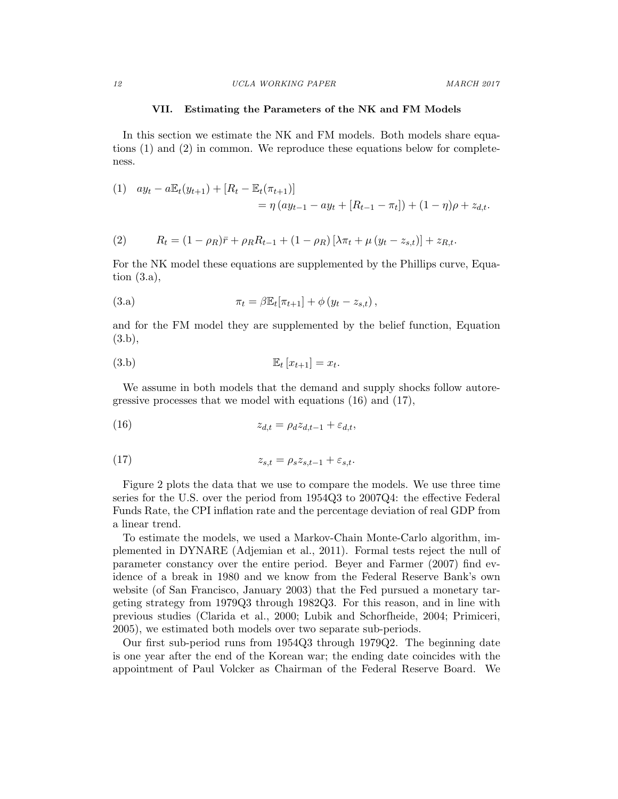# VII. Estimating the Parameters of the NK and FM Models

In this section we estimate the NK and FM models. Both models share equations (1) and (2) in common. We reproduce these equations below for completeness.

(1) 
$$
ay_t - a\mathbb{E}_t(y_{t+1}) + [R_t - \mathbb{E}_t(\pi_{t+1})]
$$
  
=  $\eta(ay_{t-1} - ay_t + [R_{t-1} - \pi_t]) + (1 - \eta)\rho + z_{d,t}.$ 

(2) 
$$
R_t = (1 - \rho_R)\bar{r} + \rho_R R_{t-1} + (1 - \rho_R) [\lambda \pi_t + \mu (y_t - z_{s,t})] + z_{R,t}.
$$

For the NK model these equations are supplemented by the Phillips curve, Equation (3.a),

(3.a) 
$$
\pi_t = \beta \mathbb{E}_t[\pi_{t+1}] + \phi (y_t - z_{s,t}),
$$

and for the FM model they are supplemented by the belief function, Equation  $(3.b),$ 

$$
(3.b) \t\t \mathbb{E}_t[x_{t+1}] = x_t.
$$

We assume in both models that the demand and supply shocks follow autoregressive processes that we model with equations (16) and (17),

$$
(16) \t\t\t z_{d,t} = \rho_d z_{d,t-1} + \varepsilon_{d,t},
$$

$$
(17) \t\t\t z_{s,t} = \rho_s z_{s,t-1} + \varepsilon_{s,t}.
$$

Figure 2 plots the data that we use to compare the models. We use three time series for the U.S. over the period from 1954Q3 to 2007Q4: the effective Federal Funds Rate, the CPI inflation rate and the percentage deviation of real GDP from a linear trend.

To estimate the models, we used a Markov-Chain Monte-Carlo algorithm, implemented in DYNARE (Adjemian et al., 2011). Formal tests reject the null of parameter constancy over the entire period. Beyer and Farmer (2007) find evidence of a break in 1980 and we know from the Federal Reserve Bank's own website (of San Francisco, January 2003) that the Fed pursued a monetary targeting strategy from 1979Q3 through 1982Q3. For this reason, and in line with previous studies (Clarida et al., 2000; Lubik and Schorfheide, 2004; Primiceri, 2005), we estimated both models over two separate sub-periods.

Our first sub-period runs from 1954Q3 through 1979Q2. The beginning date is one year after the end of the Korean war; the ending date coincides with the appointment of Paul Volcker as Chairman of the Federal Reserve Board. We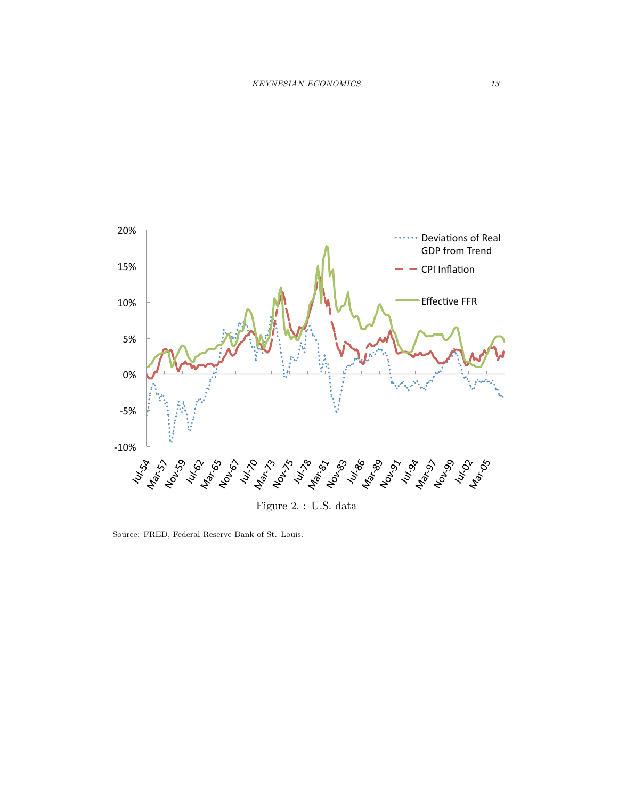

Figure 2. : U.S. data

Source: FRED, Federal Reserve Bank of St. Louis.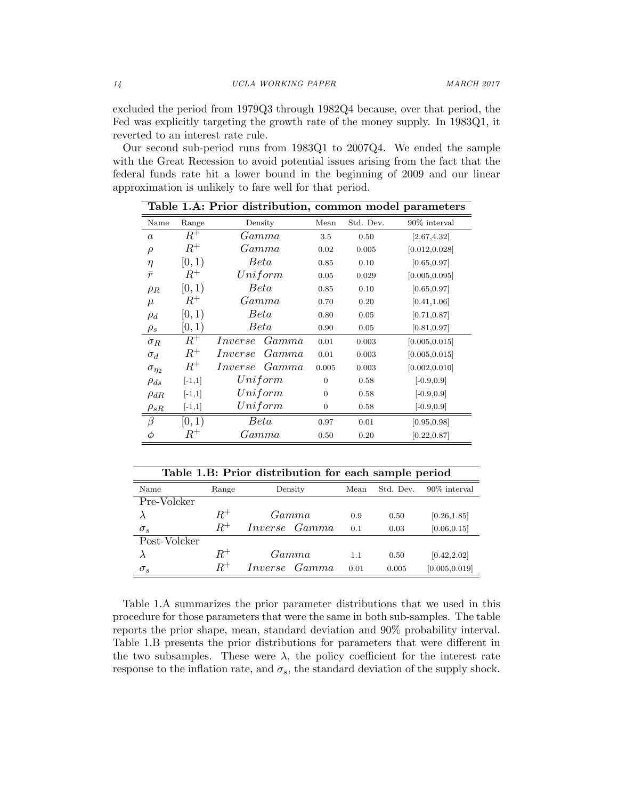excluded the period from 1979Q3 through 1982Q4 because, over that period, the Fed was explicitly targeting the growth rate of the money supply. In 1983Q1, it reverted to an interest rate rule.

Our second sub-period runs from 1983Q1 to 2007Q4. We ended the sample with the Great Recession to avoid potential issues arising from the fact that the federal funds rate hit a lower bound in the beginning of 2009 and our linear approximation is unlikely to fare well for that period.

| Table 1.A: Prior distribution, common model parameters |                  |                                |                  |           |                |
|--------------------------------------------------------|------------------|--------------------------------|------------------|-----------|----------------|
| Name                                                   | Range            | Density                        | Mean             | Std. Dev. | 90% interval   |
| $\alpha$                                               | $\overline{R^+}$ | $\emph{Gamma}$                 | 3.5              | 0.50      | [2.67, 4.32]   |
| $\rho$                                                 | $R^+$            | Gamma                          | 0.02             | 0.005     | [0.012, 0.028] |
| $\eta$                                                 | [0, 1)           | Beta                           | 0.85             | 0.10      | [0.65, 0.97]   |
| $\bar{r}$                                              | $R^+$            | Uniform                        | 0.05             | 0.029     | [0.005, 0.095] |
| $\rho_R$                                               | [0, 1)           | Beta                           | 0.85             | 0.10      | [0.65, 0.97]   |
| $\mu$                                                  | $R^+$            | Gamma                          | 0.70             | 0.20      | [0.41, 1.06]   |
| $\rho_d$                                               | [0, 1)           | Beta                           | 0.80             | 0.05      | [0.71, 0.87]   |
| $\rho_s$                                               | [0,1)            | Beta                           | 0.90             | 0.05      | [0.81, 0.97]   |
| $\sigma_R$                                             | $R^+$            | Gamma<br><i><u>Inverse</u></i> | 0.01             | 0.003     | [0.005, 0.015] |
| $\sigma_d$                                             | $R^+$            | Gamma<br><i><u>Inverse</u></i> | 0.01             | 0.003     | [0.005, 0.015] |
| $\sigma_{\eta_2}$                                      | $R^+$            | Gamma<br><i>Inverse</i>        | 0.005            | 0.003     | [0.002, 0.010] |
| $\rho_{ds}$                                            | $[-1,1]$         | Uniform                        | $\theta$         | 0.58      | $[-0.9, 0.9]$  |
| $\rho_{dR}$                                            | $[-1,1]$         | Uniform                        | $\boldsymbol{0}$ | 0.58      | $[-0.9, 0.9]$  |
| $\rho_{sR}$                                            | $[-1,1]$         | Uniform                        | $\overline{0}$   | 0.58      | $[-0.9, 0.9]$  |
| B                                                      | [0,1)            | Beta                           | 0.97             | 0.01      | [0.95, 0.98]   |
| φ                                                      | $R^+$            | $\emph{Gamma}$                 | 0.50             | 0.20      | [0.22, 0.87]   |

| Table 1.B: Prior distribution for each sample period |  |  |
|------------------------------------------------------|--|--|
|                                                      |  |  |

| Name         | Range | Density              | Mean | Std. Dev. | 90\% interval  |
|--------------|-------|----------------------|------|-----------|----------------|
| Pre-Volcker  |       |                      |      |           |                |
|              | $R^+$ | Gamma                | 0.9  | 0.50      | [0.26, 1.85]   |
| $\sigma_s$   | $R^+$ | <i>Inverse Gamma</i> | 0.1  | 0.03      | [0.06, 0.15]   |
| Post-Volcker |       |                      |      |           |                |
|              | $R^+$ | Gamma                | 1.1  | 0.50      | [0.42, 2.02]   |
| $\sigma_s$   | $R^+$ | Inverse Gamma        | 0.01 | 0.005     | [0.005, 0.019] |

Table 1.A summarizes the prior parameter distributions that we used in this procedure for those parameters that were the same in both sub-samples. The table reports the prior shape, mean, standard deviation and 90% probability interval. Table 1.B presents the prior distributions for parameters that were different in the two subsamples. These were  $\lambda$ , the policy coefficient for the interest rate response to the inflation rate, and  $\sigma_s$ , the standard deviation of the supply shock.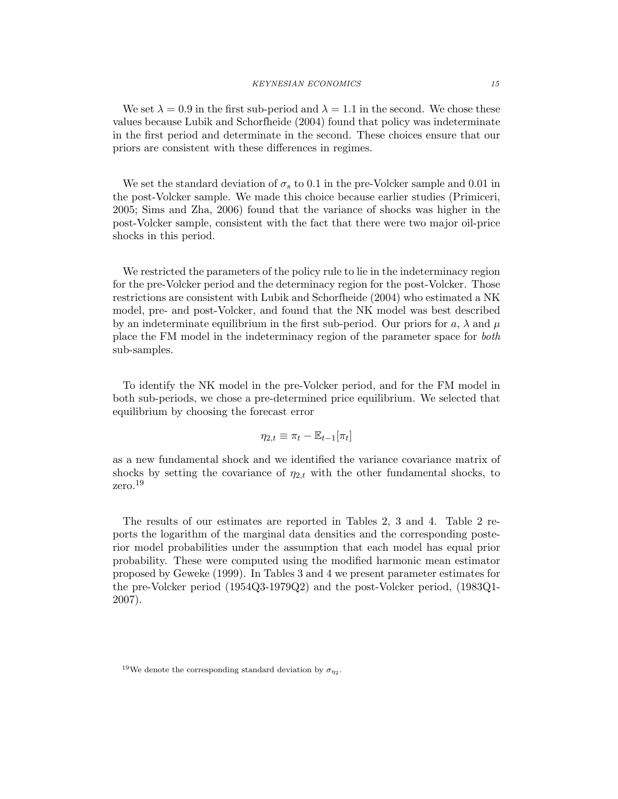We set  $\lambda = 0.9$  in the first sub-period and  $\lambda = 1.1$  in the second. We chose these values because Lubik and Schorfheide (2004) found that policy was indeterminate in the first period and determinate in the second. These choices ensure that our priors are consistent with these differences in regimes.

We set the standard deviation of  $\sigma_s$  to 0.1 in the pre-Volcker sample and 0.01 in the post-Volcker sample. We made this choice because earlier studies (Primiceri, 2005; Sims and Zha, 2006) found that the variance of shocks was higher in the post-Volcker sample, consistent with the fact that there were two major oil-price shocks in this period.

We restricted the parameters of the policy rule to lie in the indeterminacy region for the pre-Volcker period and the determinacy region for the post-Volcker. Those restrictions are consistent with Lubik and Schorfheide (2004) who estimated a NK model, pre- and post-Volcker, and found that the NK model was best described by an indeterminate equilibrium in the first sub-period. Our priors for  $a, \lambda$  and  $\mu$ place the FM model in the indeterminacy region of the parameter space for both sub-samples.

To identify the NK model in the pre-Volcker period, and for the FM model in both sub-periods, we chose a pre-determined price equilibrium. We selected that equilibrium by choosing the forecast error

$$
\eta_{2,t} \equiv \pi_t - \mathbb{E}_{t-1}[\pi_t]
$$

as a new fundamental shock and we identified the variance covariance matrix of shocks by setting the covariance of  $\eta_{2,t}$  with the other fundamental shocks, to zero.<sup>19</sup>

The results of our estimates are reported in Tables 2, 3 and 4. Table 2 reports the logarithm of the marginal data densities and the corresponding posterior model probabilities under the assumption that each model has equal prior probability. These were computed using the modified harmonic mean estimator proposed by Geweke (1999). In Tables 3 and 4 we present parameter estimates for the pre-Volcker period (1954Q3-1979Q2) and the post-Volcker period, (1983Q1- 2007).

<sup>&</sup>lt;sup>19</sup>We denote the corresponding standard deviation by  $\sigma_{\eta_2}$ .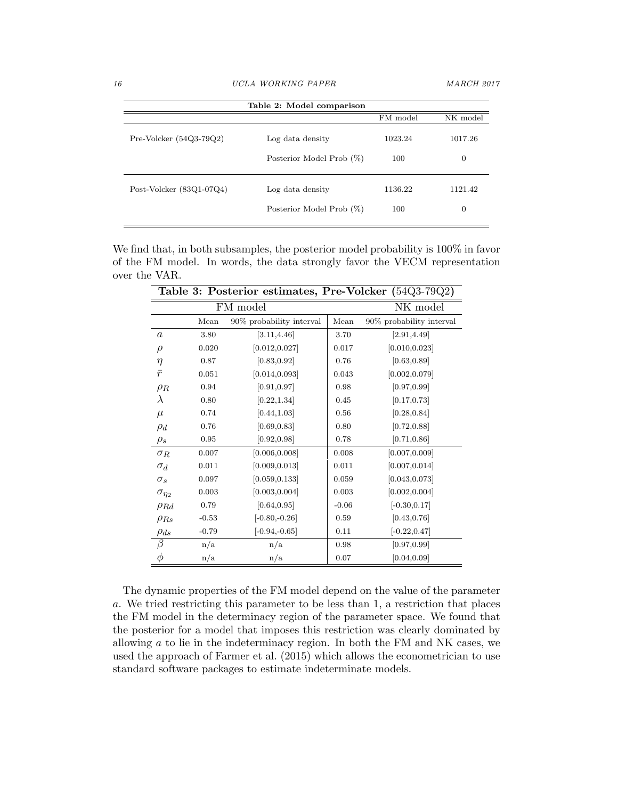|                            | Table 2: Model comparison |          |              |
|----------------------------|---------------------------|----------|--------------|
|                            |                           | FM model | NK model     |
| $Pre-Volcker (54Q3-79Q2)$  | Log data density          | 1023.24  | 1017.26      |
|                            | Posterior Model Prob (%)  | 100      | $\mathbf{0}$ |
| Post-Volcker $(83Q1-07Q4)$ | Log data density          | 1136.22  | 1121.42      |
|                            | Posterior Model Prob (%)  | 100      | $\theta$     |

We find that, in both subsamples, the posterior model probability is 100% in favor of the FM model. In words, the data strongly favor the VECM representation over the VAR.

| Table 3: Posterior estimates, Pre-Volcker (54Q3-79Q2) |         |                          |         |                          |
|-------------------------------------------------------|---------|--------------------------|---------|--------------------------|
| FM model<br>NK model                                  |         |                          |         |                          |
|                                                       | Mean    | 90% probability interval | Mean    | 90% probability interval |
| $\alpha$                                              | 3.80    | [3.11, 4.46]             | 3.70    | [2.91, 4.49]             |
| $\rho$                                                | 0.020   | [0.012, 0.027]           | 0.017   | [0.010, 0.023]           |
| $\eta$                                                | 0.87    | [0.83, 0.92]             | 0.76    | [0.63, 0.89]             |
| $\bar{r}$                                             | 0.051   | [0.014, 0.093]           | 0.043   | [0.002, 0.079]           |
| $\rho_R$                                              | 0.94    | [0.91, 0.97]             | 0.98    | [0.97, 0.99]             |
| $\lambda$                                             | 0.80    | [0.22, 1.34]             | 0.45    | [0.17, 0.73]             |
| $\mu$                                                 | 0.74    | [0.44, 1.03]             | 0.56    | [0.28, 0.84]             |
| $\rho_d$                                              | 0.76    | [0.69, 0.83]             | 0.80    | [0.72, 0.88]             |
| $\rho_s$                                              | 0.95    | [0.92, 0.98]             | 0.78    | [0.71, 0.86]             |
| $\sigma_R$                                            | 0.007   | [0.006, 0.008]           | 0.008   | [0.007, 0.009]           |
| $\sigma_d$                                            | 0.011   | [0.009, 0.013]           | 0.011   | [0.007, 0.014]           |
| $\sigma_s$                                            | 0.097   | [0.059, 0.133]           | 0.059   | [0.043, 0.073]           |
| $\sigma_{\eta_2}$                                     | 0.003   | [0.003, 0.004]           | 0.003   | [0.002, 0.004]           |
| $\rho_{Rd}$                                           | 0.79    | [0.64, 0.95]             | $-0.06$ | $[-0.30, 0.17]$          |
| $\rho_{Rs}$                                           | $-0.53$ | $[-0.80,-0.26]$          | 0.59    | [0.43, 0.76]             |
| $\rho_{ds}$                                           | $-0.79$ | $[-0.94, -0.65]$         | 0.11    | $[-0.22, 0.47]$          |
| β                                                     | n/a     | n/a                      | 0.98    | [0.97, 0.99]             |
| Φ                                                     | n/a     | n/a                      | 0.07    | [0.04, 0.09]             |

The dynamic properties of the FM model depend on the value of the parameter a. We tried restricting this parameter to be less than 1, a restriction that places the FM model in the determinacy region of the parameter space. We found that the posterior for a model that imposes this restriction was clearly dominated by allowing a to lie in the indeterminacy region. In both the FM and NK cases, we used the approach of Farmer et al. (2015) which allows the econometrician to use standard software packages to estimate indeterminate models.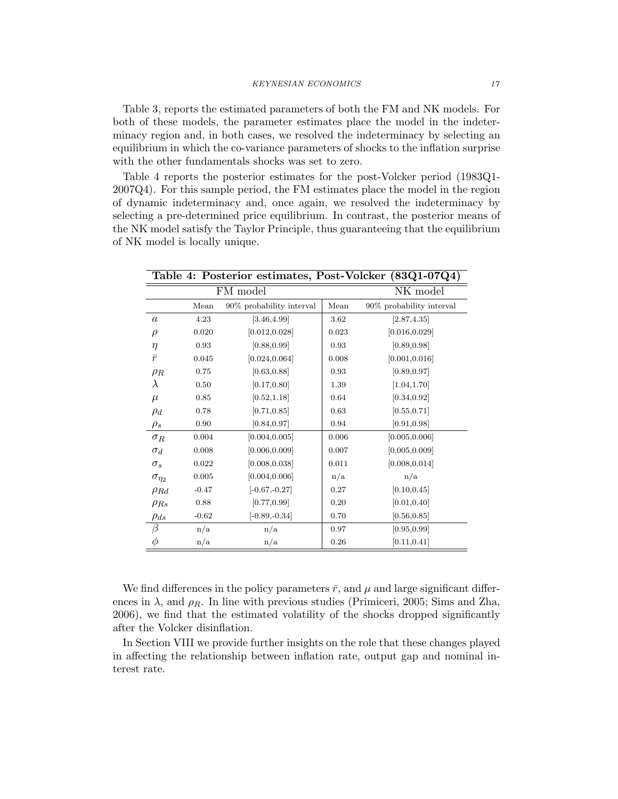Table 3, reports the estimated parameters of both the FM and NK models. For both of these models, the parameter estimates place the model in the indeterminacy region and, in both cases, we resolved the indeterminacy by selecting an equilibrium in which the co-variance parameters of shocks to the inflation surprise with the other fundamentals shocks was set to zero.

Table 4 reports the posterior estimates for the post-Volcker period (1983Q1- 2007Q4). For this sample period, the FM estimates place the model in the region of dynamic indeterminacy and, once again, we resolved the indeterminacy by selecting a pre-determined price equilibrium. In contrast, the posterior means of the NK model satisfy the Taylor Principle, thus guaranteeing that the equilibrium of NK model is locally unique.

| Table 4: Posterior estimates, Post-Volcker (83Q1-07Q4) |         |                          |       |                          |  |
|--------------------------------------------------------|---------|--------------------------|-------|--------------------------|--|
| FM model                                               |         |                          |       | NK model                 |  |
|                                                        | Mean    | 90% probability interval | Mean  | 90% probability interval |  |
| $\alpha$                                               | 4.23    | [3.46, 4.99]             | 3.62  | [2.87, 4.35]             |  |
| $\rho$                                                 | 0.020   | [0.012, 0.028]           | 0.023 | [0.016, 0.029]           |  |
| $\eta$                                                 | 0.93    | [0.88, 0.99]             | 0.93  | [0.89, 0.98]             |  |
| $\bar{r}$                                              | 0.045   | [0.024, 0.064]           | 0.008 | [0.001, 0.016]           |  |
| $\rho_R$                                               | 0.75    | [0.63, 0.88]             | 0.93  | [0.89, 0.97]             |  |
| $\lambda$                                              | 0.50    | [0.17, 0.80]             | 1.39  | [1.04, 1.70]             |  |
| $\mu$                                                  | 0.85    | [0.52, 1.18]             | 0.64  | [0.34, 0.92]             |  |
| $\rho_d$                                               | 0.78    | [0.71, 0.85]             | 0.63  | [0.55, 0.71]             |  |
| $\rho_s$                                               | 0.90    | [0.84, 0.97]             | 0.94  | [0.91, 0.98]             |  |
| $\sigma_R$                                             | 0.004   | [0.004, 0.005]           | 0.006 | [0.005, 0.006]           |  |
| $\sigma_d$                                             | 0.008   | [0.006, 0.009]           | 0.007 | [0.005, 0.009]           |  |
| $\sigma_s$                                             | 0.022   | [0.008, 0.038]           | 0.011 | [0.008, 0.014]           |  |
| $\sigma_{\eta_2}$                                      | 0.005   | [0.004, 0.006]           | n/a   | n/a                      |  |
| $\rho_{Rd}$                                            | $-0.47$ | $[-0.67,-0.27]$          | 0.27  | [0.10, 0.45]             |  |
| $\rho_{Rs}$                                            | 0.88    | [0.77, 0.99]             | 0.20  | [0.01, 0.40]             |  |
| $\rho_{ds}$                                            | $-0.62$ | $[-0.89, 0.34]$          | 0.70  | [0.56, 0.85]             |  |
| β                                                      | n/a     | n/a                      | 0.97  | [0.95, 0.99]             |  |
| $\phi$                                                 | n/a     | n/a                      | 0.26  | [0.11, 0.41]             |  |

We find differences in the policy parameters  $\bar{r}$ , and  $\mu$  and large significant differences in  $\lambda$ , and  $\rho_R$ . In line with previous studies (Primiceri, 2005; Sims and Zha, 2006), we find that the estimated volatility of the shocks dropped significantly after the Volcker disinflation.

In Section VIII we provide further insights on the role that these changes played in affecting the relationship between inflation rate, output gap and nominal interest rate.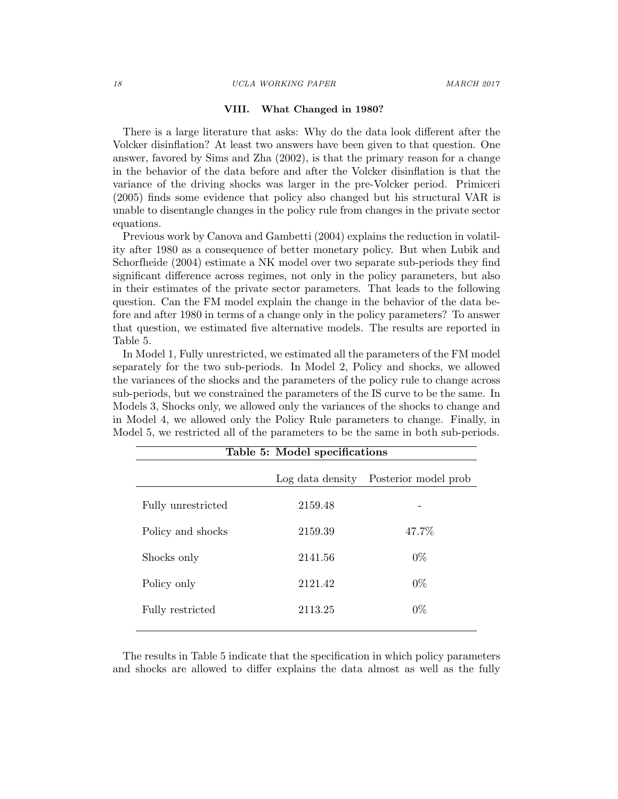### 18 UCLA WORKING PAPER MARCH 2017

## VIII. What Changed in 1980?

There is a large literature that asks: Why do the data look different after the Volcker disinflation? At least two answers have been given to that question. One answer, favored by Sims and Zha (2002), is that the primary reason for a change in the behavior of the data before and after the Volcker disinflation is that the variance of the driving shocks was larger in the pre-Volcker period. Primiceri (2005) finds some evidence that policy also changed but his structural VAR is unable to disentangle changes in the policy rule from changes in the private sector equations.

Previous work by Canova and Gambetti (2004) explains the reduction in volatility after 1980 as a consequence of better monetary policy. But when Lubik and Schorfheide (2004) estimate a NK model over two separate sub-periods they find significant difference across regimes, not only in the policy parameters, but also in their estimates of the private sector parameters. That leads to the following question. Can the FM model explain the change in the behavior of the data before and after 1980 in terms of a change only in the policy parameters? To answer that question, we estimated five alternative models. The results are reported in Table 5.

In Model 1, Fully unrestricted, we estimated all the parameters of the FM model separately for the two sub-periods. In Model 2, Policy and shocks, we allowed the variances of the shocks and the parameters of the policy rule to change across sub-periods, but we constrained the parameters of the IS curve to be the same. In Models 3, Shocks only, we allowed only the variances of the shocks to change and in Model 4, we allowed only the Policy Rule parameters to change. Finally, in Model 5, we restricted all of the parameters to be the same in both sub-periods.

| Table 5: Model specifications |         |                                       |  |  |  |
|-------------------------------|---------|---------------------------------------|--|--|--|
|                               |         | Log data density Posterior model prob |  |  |  |
| Fully unrestricted            | 2159.48 |                                       |  |  |  |
| Policy and shocks             | 2159.39 | 47.7%                                 |  |  |  |
| Shocks only                   | 2141.56 | $0\%$                                 |  |  |  |
| Policy only                   | 2121.42 | $0\%$                                 |  |  |  |
| Fully restricted              | 2113.25 | $0\%$                                 |  |  |  |
|                               |         |                                       |  |  |  |

The results in Table 5 indicate that the specification in which policy parameters and shocks are allowed to differ explains the data almost as well as the fully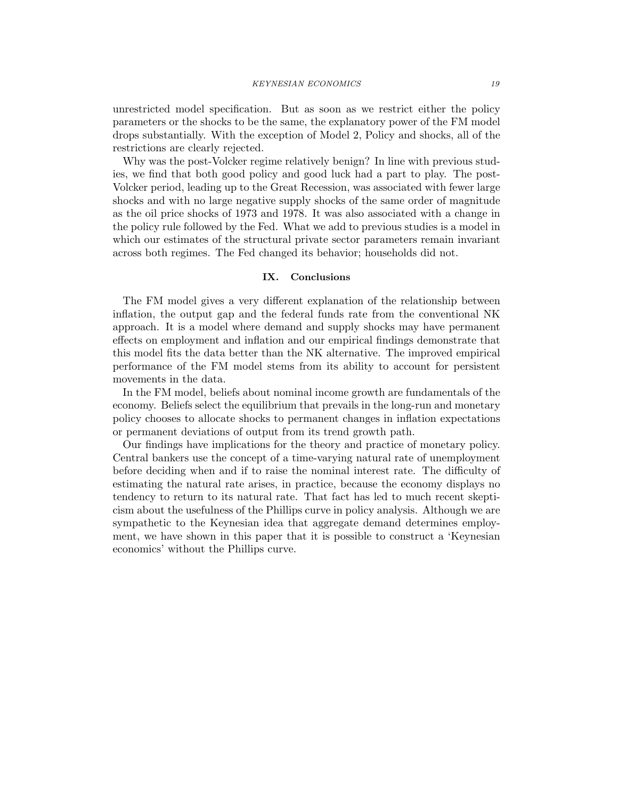unrestricted model specification. But as soon as we restrict either the policy parameters or the shocks to be the same, the explanatory power of the FM model drops substantially. With the exception of Model 2, Policy and shocks, all of the restrictions are clearly rejected.

Why was the post-Volcker regime relatively benign? In line with previous studies, we find that both good policy and good luck had a part to play. The post-Volcker period, leading up to the Great Recession, was associated with fewer large shocks and with no large negative supply shocks of the same order of magnitude as the oil price shocks of 1973 and 1978. It was also associated with a change in the policy rule followed by the Fed. What we add to previous studies is a model in which our estimates of the structural private sector parameters remain invariant across both regimes. The Fed changed its behavior; households did not.

# IX. Conclusions

The FM model gives a very different explanation of the relationship between inflation, the output gap and the federal funds rate from the conventional NK approach. It is a model where demand and supply shocks may have permanent effects on employment and inflation and our empirical findings demonstrate that this model fits the data better than the NK alternative. The improved empirical performance of the FM model stems from its ability to account for persistent movements in the data.

In the FM model, beliefs about nominal income growth are fundamentals of the economy. Beliefs select the equilibrium that prevails in the long-run and monetary policy chooses to allocate shocks to permanent changes in inflation expectations or permanent deviations of output from its trend growth path.

Our findings have implications for the theory and practice of monetary policy. Central bankers use the concept of a time-varying natural rate of unemployment before deciding when and if to raise the nominal interest rate. The difficulty of estimating the natural rate arises, in practice, because the economy displays no tendency to return to its natural rate. That fact has led to much recent skepticism about the usefulness of the Phillips curve in policy analysis. Although we are sympathetic to the Keynesian idea that aggregate demand determines employment, we have shown in this paper that it is possible to construct a 'Keynesian economics' without the Phillips curve.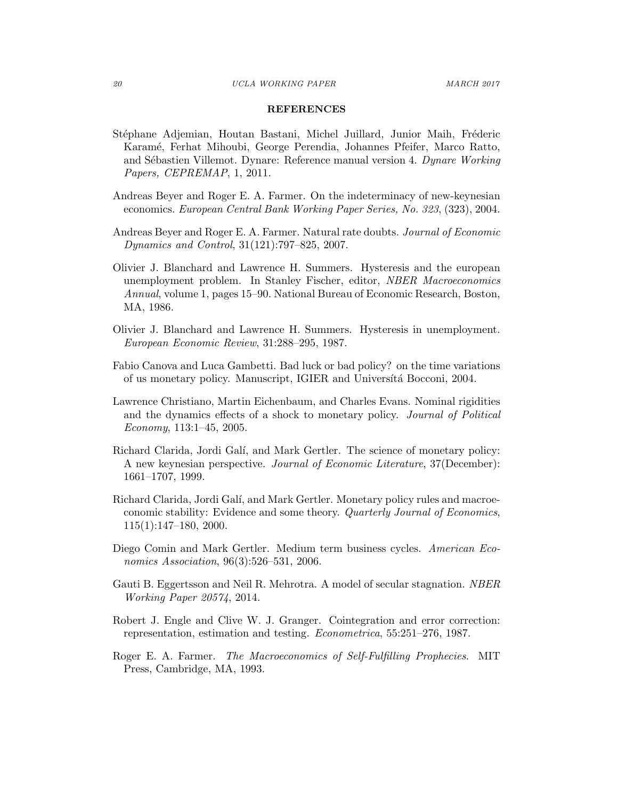# REFERENCES

- Stéphane Adjemian, Houtan Bastani, Michel Juillard, Junior Maih, Fréderic Karam´e, Ferhat Mihoubi, George Perendia, Johannes Pfeifer, Marco Ratto, and Sébastien Villemot. Dynare: Reference manual version 4. Dynare Working Papers, CEPREMAP, 1, 2011.
- Andreas Beyer and Roger E. A. Farmer. On the indeterminacy of new-keynesian economics. European Central Bank Working Paper Series, No. 323, (323), 2004.
- Andreas Beyer and Roger E. A. Farmer. Natural rate doubts. Journal of Economic Dynamics and Control, 31(121):797–825, 2007.
- Olivier J. Blanchard and Lawrence H. Summers. Hysteresis and the european unemployment problem. In Stanley Fischer, editor, NBER Macroeconomics Annual, volume 1, pages 15–90. National Bureau of Economic Research, Boston, MA, 1986.
- Olivier J. Blanchard and Lawrence H. Summers. Hysteresis in unemployment. European Economic Review, 31:288–295, 1987.
- Fabio Canova and Luca Gambetti. Bad luck or bad policy? on the time variations of us monetary policy. Manuscript, IGIER and Universitá Bocconi, 2004.
- Lawrence Christiano, Martin Eichenbaum, and Charles Evans. Nominal rigidities and the dynamics effects of a shock to monetary policy. Journal of Political Economy, 113:1–45, 2005.
- Richard Clarida, Jordi Galí, and Mark Gertler. The science of monetary policy: A new keynesian perspective. Journal of Economic Literature, 37(December): 1661–1707, 1999.
- Richard Clarida, Jordi Galí, and Mark Gertler. Monetary policy rules and macroeconomic stability: Evidence and some theory. Quarterly Journal of Economics, 115(1):147–180, 2000.
- Diego Comin and Mark Gertler. Medium term business cycles. American Economics Association, 96(3):526–531, 2006.
- Gauti B. Eggertsson and Neil R. Mehrotra. A model of secular stagnation. NBER Working Paper 20574, 2014.
- Robert J. Engle and Clive W. J. Granger. Cointegration and error correction: representation, estimation and testing. Econometrica, 55:251–276, 1987.
- Roger E. A. Farmer. The Macroeconomics of Self-Fulfilling Prophecies. MIT Press, Cambridge, MA, 1993.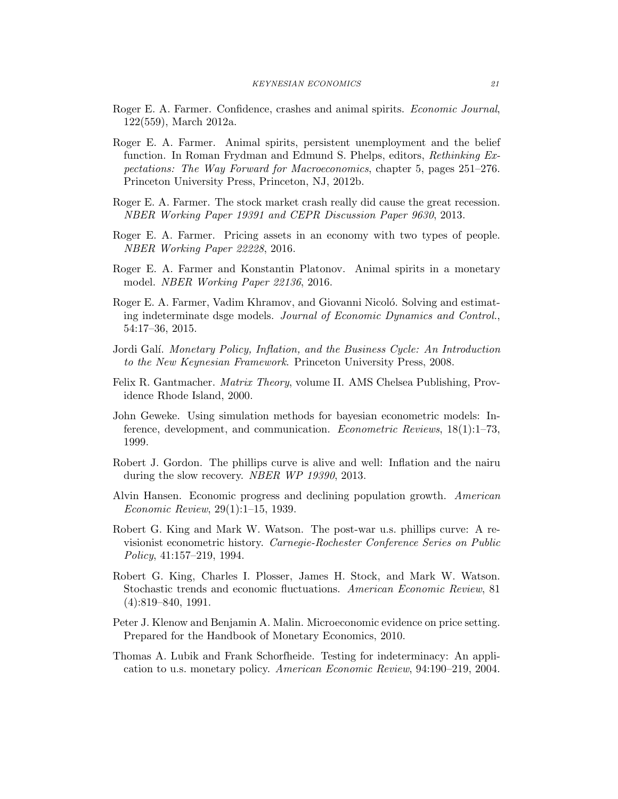- Roger E. A. Farmer. Confidence, crashes and animal spirits. Economic Journal, 122(559), March 2012a.
- Roger E. A. Farmer. Animal spirits, persistent unemployment and the belief function. In Roman Frydman and Edmund S. Phelps, editors, Rethinking Expectations: The Way Forward for Macroeconomics, chapter 5, pages 251–276. Princeton University Press, Princeton, NJ, 2012b.
- Roger E. A. Farmer. The stock market crash really did cause the great recession. NBER Working Paper 19391 and CEPR Discussion Paper 9630, 2013.
- Roger E. A. Farmer. Pricing assets in an economy with two types of people. NBER Working Paper 22228, 2016.
- Roger E. A. Farmer and Konstantin Platonov. Animal spirits in a monetary model. NBER Working Paper 22136, 2016.
- Roger E. A. Farmer, Vadim Khramov, and Giovanni Nicoló. Solving and estimating indeterminate dsge models. Journal of Economic Dynamics and Control., 54:17–36, 2015.
- Jordi Galí. Monetary Policy, Inflation, and the Business Cycle: An Introduction to the New Keynesian Framework. Princeton University Press, 2008.
- Felix R. Gantmacher. Matrix Theory, volume II. AMS Chelsea Publishing, Providence Rhode Island, 2000.
- John Geweke. Using simulation methods for bayesian econometric models: Inference, development, and communication. Econometric Reviews, 18(1):1–73, 1999.
- Robert J. Gordon. The phillips curve is alive and well: Inflation and the nairu during the slow recovery. NBER WP 19390, 2013.
- Alvin Hansen. Economic progress and declining population growth. American Economic Review, 29(1):1–15, 1939.
- Robert G. King and Mark W. Watson. The post-war u.s. phillips curve: A revisionist econometric history. Carnegie-Rochester Conference Series on Public Policy, 41:157–219, 1994.
- Robert G. King, Charles I. Plosser, James H. Stock, and Mark W. Watson. Stochastic trends and economic fluctuations. American Economic Review, 81 (4):819–840, 1991.
- Peter J. Klenow and Benjamin A. Malin. Microeconomic evidence on price setting. Prepared for the Handbook of Monetary Economics, 2010.
- Thomas A. Lubik and Frank Schorfheide. Testing for indeterminacy: An application to u.s. monetary policy. American Economic Review, 94:190–219, 2004.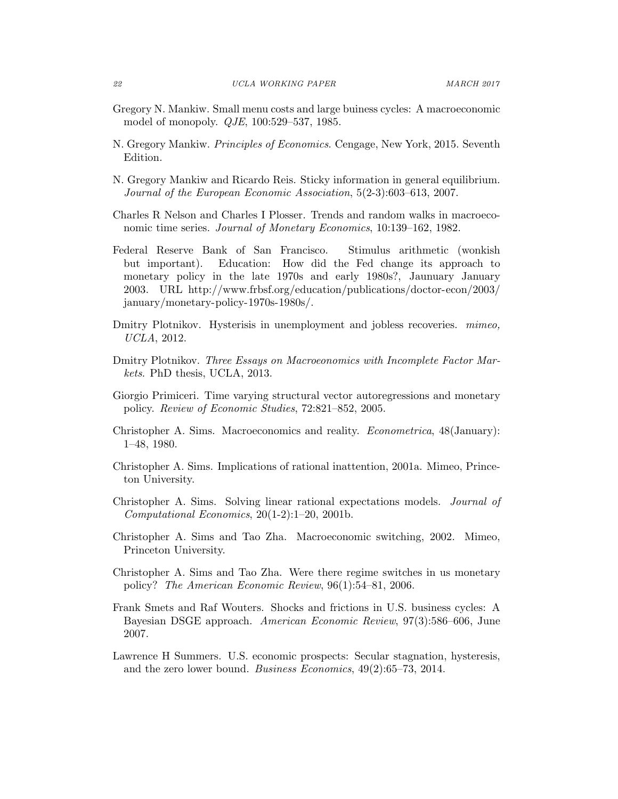- Gregory N. Mankiw. Small menu costs and large buiness cycles: A macroeconomic model of monopoly. QJE, 100:529–537, 1985.
- N. Gregory Mankiw. Principles of Economics. Cengage, New York, 2015. Seventh Edition.
- N. Gregory Mankiw and Ricardo Reis. Sticky information in general equilibrium. Journal of the European Economic Association, 5(2-3):603–613, 2007.
- Charles R Nelson and Charles I Plosser. Trends and random walks in macroeconomic time series. Journal of Monetary Economics, 10:139–162, 1982.
- Federal Reserve Bank of San Francisco. Stimulus arithmetic (wonkish but important). Education: How did the Fed change its approach to monetary policy in the late 1970s and early 1980s?, Jaunuary January 2003. URL http://www.frbsf.org/education/publications/doctor-econ/2003/ january/monetary-policy-1970s-1980s/.
- Dmitry Plotnikov. Hysterisis in unemployment and jobless recoveries. *mimeo*, UCLA, 2012.
- Dmitry Plotnikov. Three Essays on Macroeonomics with Incomplete Factor Markets. PhD thesis, UCLA, 2013.
- Giorgio Primiceri. Time varying structural vector autoregressions and monetary policy. Review of Economic Studies, 72:821–852, 2005.
- Christopher A. Sims. Macroeconomics and reality. Econometrica, 48(January): 1–48, 1980.
- Christopher A. Sims. Implications of rational inattention, 2001a. Mimeo, Princeton University.
- Christopher A. Sims. Solving linear rational expectations models. Journal of Computational Economics, 20(1-2):1–20, 2001b.
- Christopher A. Sims and Tao Zha. Macroeconomic switching, 2002. Mimeo, Princeton University.
- Christopher A. Sims and Tao Zha. Were there regime switches in us monetary policy? The American Economic Review, 96(1):54–81, 2006.
- Frank Smets and Raf Wouters. Shocks and frictions in U.S. business cycles: A Bayesian DSGE approach. American Economic Review, 97(3):586–606, June 2007.
- Lawrence H Summers. U.S. economic prospects: Secular stagnation, hysteresis, and the zero lower bound. Business Economics, 49(2):65–73, 2014.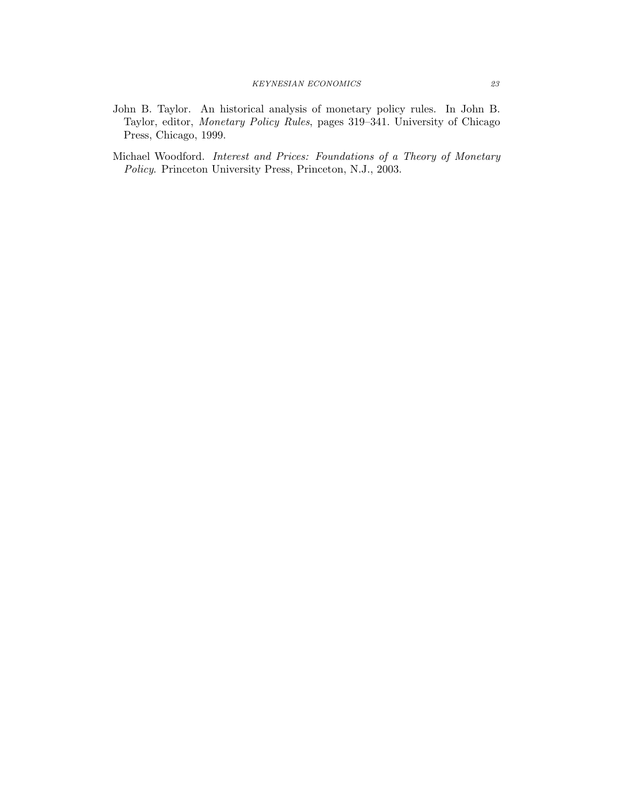- John B. Taylor. An historical analysis of monetary policy rules. In John B. Taylor, editor, Monetary Policy Rules, pages 319–341. University of Chicago Press, Chicago, 1999.
- Michael Woodford. Interest and Prices: Foundations of a Theory of Monetary Policy. Princeton University Press, Princeton, N.J., 2003.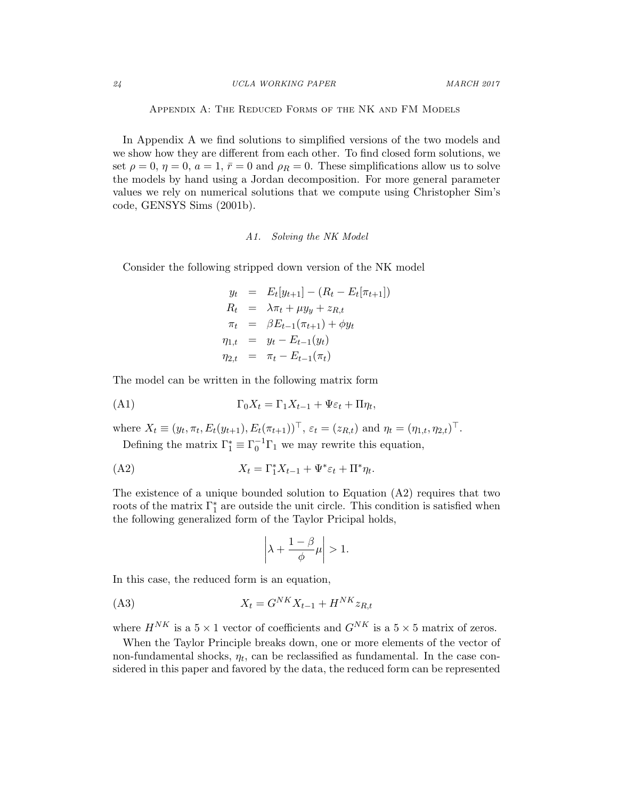### 24 UCLA WORKING PAPER MARCH 2017

Appendix A: The Reduced Forms of the NK and FM Models

In Appendix A we find solutions to simplified versions of the two models and we show how they are different from each other. To find closed form solutions, we set  $\rho = 0$ ,  $\eta = 0$ ,  $a = 1$ ,  $\bar{r} = 0$  and  $\rho_R = 0$ . These simplifications allow us to solve the models by hand using a Jordan decomposition. For more general parameter values we rely on numerical solutions that we compute using Christopher Sim's code, GENSYS Sims (2001b).

### A1. Solving the NK Model

Consider the following stripped down version of the NK model

$$
y_t = E_t[y_{t+1}] - (R_t - E_t[\pi_{t+1}])
$$
  
\n
$$
R_t = \lambda \pi_t + \mu y_y + z_{R,t}
$$
  
\n
$$
\pi_t = \beta E_{t-1}(\pi_{t+1}) + \phi y_t
$$
  
\n
$$
\eta_{1,t} = y_t - E_{t-1}(y_t)
$$
  
\n
$$
\eta_{2,t} = \pi_t - E_{t-1}(\pi_t)
$$

The model can be written in the following matrix form

$$
\Gamma_0 X_t = \Gamma_1 X_{t-1} + \Psi \varepsilon_t + \Pi \eta_t,
$$

where  $X_t \equiv (y_t, \pi_t, E_t(y_{t+1}), E_t(\pi_{t+1}))^\top$ ,  $\varepsilon_t = (z_{R,t})$  and  $\eta_t = (\eta_{1,t}, \eta_{2,t})^\top$ . Defining the matrix  $\Gamma_1^* \equiv \Gamma_0^{-1} \Gamma_1$  we may rewrite this equation,

(A2) 
$$
X_t = \Gamma_1^* X_{t-1} + \Psi^* \varepsilon_t + \Pi^* \eta_t.
$$

The existence of a unique bounded solution to Equation (A2) requires that two roots of the matrix  $\Gamma_1^*$  are outside the unit circle. This condition is satisfied when the following generalized form of the Taylor Pricipal holds,

$$
\left|\lambda + \frac{1-\beta}{\phi}\mu\right| > 1.
$$

In this case, the reduced form is an equation,

(A3) 
$$
X_t = G^{NK} X_{t-1} + H^{NK} z_{R,t}
$$

where  $H^{NK}$  is a  $5 \times 1$  vector of coefficients and  $G^{NK}$  is a  $5 \times 5$  matrix of zeros.

When the Taylor Principle breaks down, one or more elements of the vector of non-fundamental shocks,  $\eta_t$ , can be reclassified as fundamental. In the case considered in this paper and favored by the data, the reduced form can be represented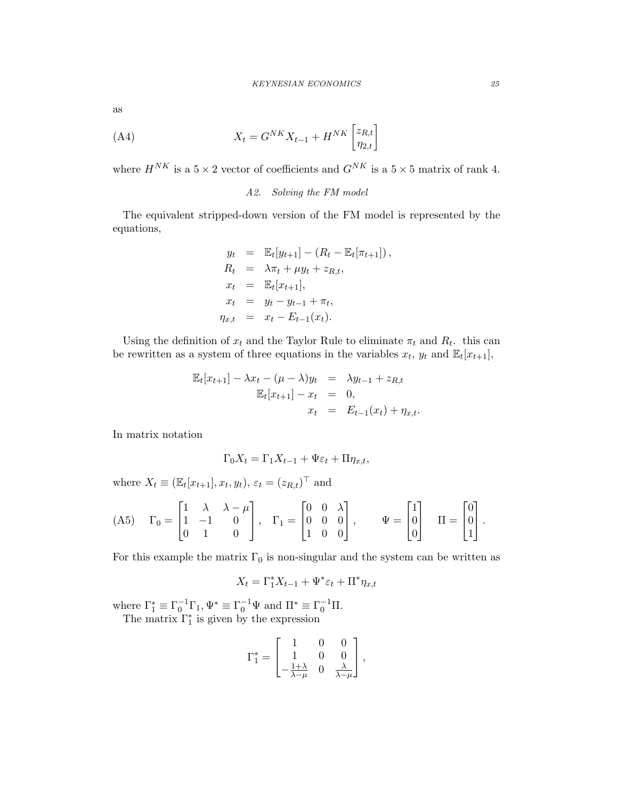as

$$
(A4) \t\t X_t = G^{NK} X_{t-1} + H^{NK} \begin{bmatrix} z_{R,t} \\ \eta_{2,t} \end{bmatrix}
$$

where  $H^{NK}$  is a  $5 \times 2$  vector of coefficients and  $G^{NK}$  is a  $5 \times 5$  matrix of rank 4.

# A2. Solving the FM model

The equivalent stripped-down version of the FM model is represented by the equations,

$$
y_t = \mathbb{E}_t[y_{t+1}] - (R_t - \mathbb{E}_t[\pi_{t+1}]),
$$
  
\n
$$
R_t = \lambda \pi_t + \mu y_t + z_{R,t},
$$
  
\n
$$
x_t = \mathbb{E}_t[x_{t+1}],
$$
  
\n
$$
x_t = y_t - y_{t-1} + \pi_t,
$$
  
\n
$$
\eta_{x,t} = x_t - E_{t-1}(x_t).
$$

Using the definition of  $x_t$  and the Taylor Rule to eliminate  $\pi_t$  and  $R_t$ . this can be rewritten as a system of three equations in the variables  $x_t$ ,  $y_t$  and  $\mathbb{E}_t[x_{t+1}]$ ,

$$
\mathbb{E}_t[x_{t+1}] - \lambda x_t - (\mu - \lambda)y_t = \lambda y_{t-1} + z_{R,t}
$$
  

$$
\mathbb{E}_t[x_{t+1}] - x_t = 0,
$$
  

$$
x_t = E_{t-1}(x_t) + \eta_{x,t}.
$$

In matrix notation

$$
\Gamma_0 X_t = \Gamma_1 X_{t-1} + \Psi \varepsilon_t + \Pi \eta_{x,t},
$$

where  $X_t \equiv (\mathbb{E}_t[x_{t+1}], x_t, y_t), \, \varepsilon_t = (z_{R,t})^\top$  and

(A5) 
$$
\Gamma_0 = \begin{bmatrix} 1 & \lambda & \lambda - \mu \\ 1 & -1 & 0 \\ 0 & 1 & 0 \end{bmatrix}
$$
,  $\Gamma_1 = \begin{bmatrix} 0 & 0 & \lambda \\ 0 & 0 & 0 \\ 1 & 0 & 0 \end{bmatrix}$ ,  $\Psi = \begin{bmatrix} 1 \\ 0 \\ 0 \end{bmatrix}$   $\Pi = \begin{bmatrix} 0 \\ 0 \\ 1 \end{bmatrix}$ .

For this example the matrix  $\Gamma_0$  is non-singular and the system can be written as

$$
X_t = \Gamma_1^* X_{t-1} + \Psi^* \varepsilon_t + \Pi^* \eta_{x,t}
$$

where  $\Gamma_1^* \equiv \Gamma_0^{-1} \Gamma_1$ ,  $\Psi^* \equiv \Gamma_0^{-1} \Psi$  and  $\Pi^* \equiv \Gamma_0^{-1} \Pi$ . The matrix  $\Gamma_1^*$  is given by the expression

$$
\Gamma_1^*=\begin{bmatrix} 1 & 0 & 0 \\ 1 & 0 & 0 \\ -\frac{1+\lambda}{\lambda-\mu} & 0 & \frac{\lambda}{\lambda-\mu} \end{bmatrix},
$$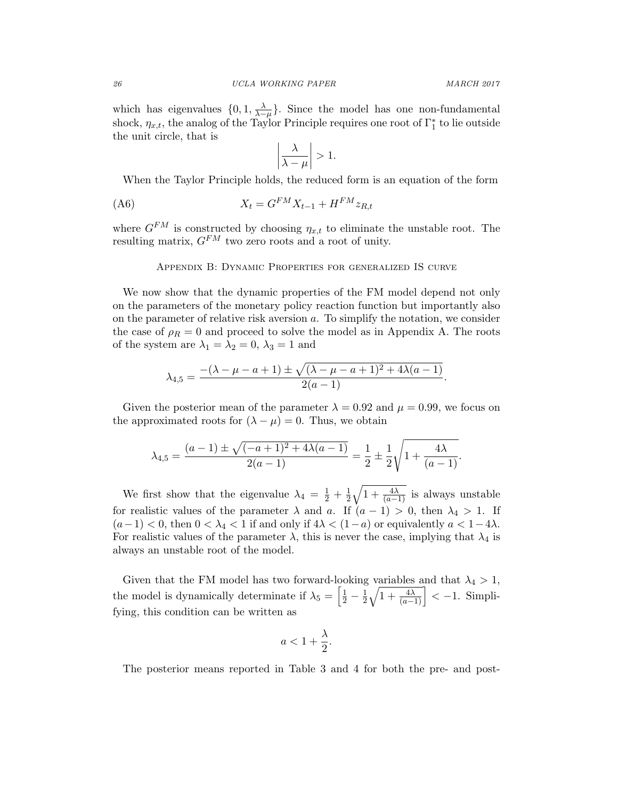which has eigenvalues  $\{0, 1, \frac{\lambda}{\lambda - \mu}\}$ . Since the model has one non-fundamental shock,  $\eta_{x,t}$ , the analog of the Taylor Principle requires one root of  $\Gamma_1^*$  to lie outside the unit circle, that is

$$
\left|\frac{\lambda}{\lambda-\mu}\right|>1.
$$

When the Taylor Principle holds, the reduced form is an equation of the form

$$
(A6) \t\t Xt = GFM Xt-1 + HFM zR,t
$$

where  $G^{FM}$  is constructed by choosing  $\eta_{x,t}$  to eliminate the unstable root. The resulting matrix,  $G^{FM}$  two zero roots and a root of unity.

## Appendix B: Dynamic Properties for generalized IS curve

We now show that the dynamic properties of the FM model depend not only on the parameters of the monetary policy reaction function but importantly also on the parameter of relative risk aversion a. To simplify the notation, we consider the case of  $\rho_R = 0$  and proceed to solve the model as in Appendix A. The roots of the system are  $\lambda_1 = \lambda_2 = 0, \lambda_3 = 1$  and

$$
\lambda_{4,5} = \frac{-(\lambda - \mu - a + 1) \pm \sqrt{(\lambda - \mu - a + 1)^2 + 4\lambda(a - 1)}}{2(a - 1)}.
$$

Given the posterior mean of the parameter  $\lambda = 0.92$  and  $\mu = 0.99$ , we focus on the approximated roots for  $(\lambda - \mu) = 0$ . Thus, we obtain

$$
\lambda_{4,5} = \frac{(a-1) \pm \sqrt{(-a+1)^2 + 4\lambda(a-1)}}{2(a-1)} = \frac{1}{2} \pm \frac{1}{2} \sqrt{1 + \frac{4\lambda}{(a-1)}}.
$$

We first show that the eigenvalue  $\lambda_4 = \frac{1}{2} + \frac{1}{2}$  $\frac{1}{2}\sqrt{1+\frac{4\lambda}{(a-1)}}$  is always unstable for realistic values of the parameter  $\lambda$  and a. If  $(a-1) > 0$ , then  $\lambda_4 > 1$ . If  $(a-1) < 0$ , then  $0 < \lambda_4 < 1$  if and only if  $4\lambda < (1-a)$  or equivalently  $a < 1-4\lambda$ . For realistic values of the parameter  $\lambda$ , this is never the case, implying that  $\lambda_4$  is always an unstable root of the model.

Given that the FM model has two forward-looking variables and that  $\lambda_4 > 1$ , the model is dynamically determinate if  $\lambda_5 = \left[\frac{1}{2} - \frac{1}{2}\right]$  $\frac{1}{2}\sqrt{1+\frac{4\lambda}{(a-1)}} \Big| < -1.$  Simplifying, this condition can be written as

$$
a<1+\frac{\lambda}{2}.
$$

The posterior means reported in Table 3 and 4 for both the pre- and post-